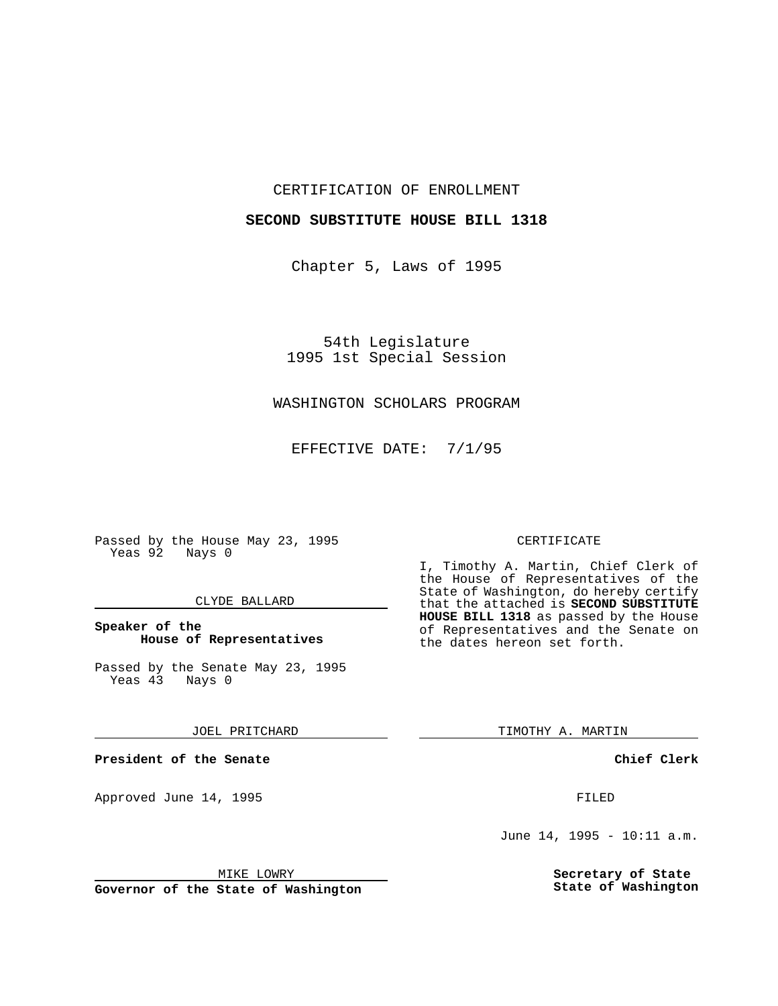CERTIFICATION OF ENROLLMENT

## **SECOND SUBSTITUTE HOUSE BILL 1318**

Chapter 5, Laws of 1995

54th Legislature 1995 1st Special Session

## WASHINGTON SCHOLARS PROGRAM

EFFECTIVE DATE: 7/1/95

Passed by the House May 23, 1995 Yeas 92 Nays 0

#### CLYDE BALLARD

#### **Speaker of the House of Representatives**

Passed by the Senate May 23, 1995<br>Yeas 43 Nays 0 Yeas 43

JOEL PRITCHARD

**President of the Senate**

Approved June 14, 1995 FILED

# CERTIFICATE

I, Timothy A. Martin, Chief Clerk of the House of Representatives of the State of Washington, do hereby certify that the attached is **SECOND SUBSTITUTE HOUSE BILL 1318** as passed by the House of Representatives and the Senate on the dates hereon set forth.

TIMOTHY A. MARTIN

**Chief Clerk**

June 14, 1995 - 10:11 a.m.

**Secretary of State State of Washington**

MIKE LOWRY

**Governor of the State of Washington**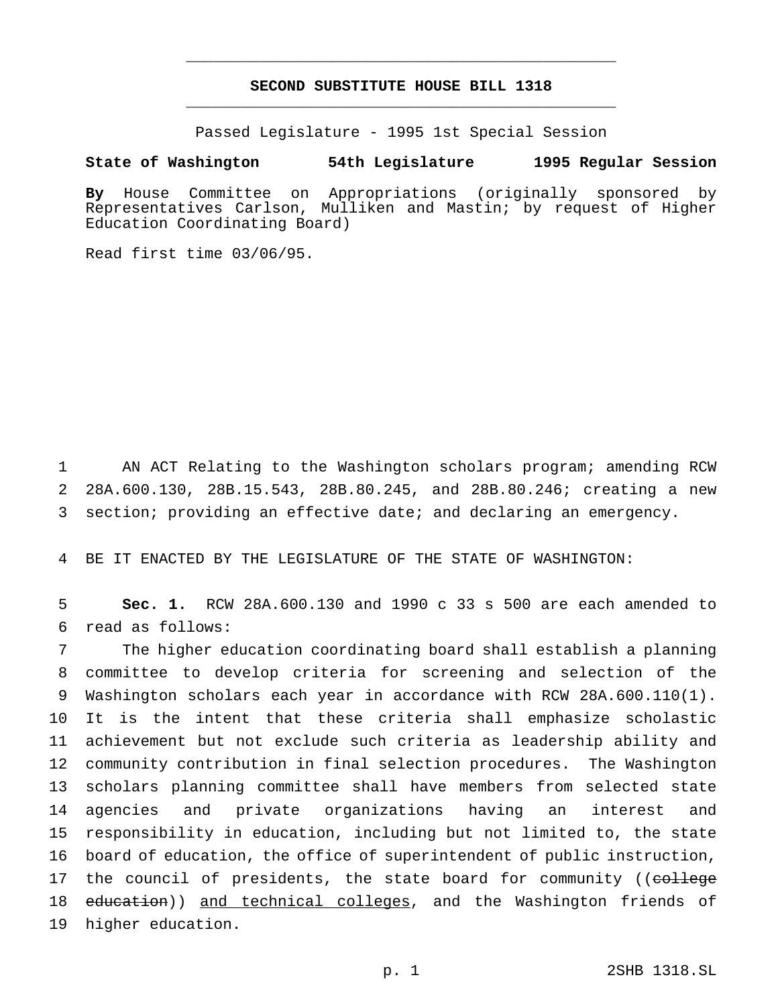# **SECOND SUBSTITUTE HOUSE BILL 1318** \_\_\_\_\_\_\_\_\_\_\_\_\_\_\_\_\_\_\_\_\_\_\_\_\_\_\_\_\_\_\_\_\_\_\_\_\_\_\_\_\_\_\_\_\_\_\_

\_\_\_\_\_\_\_\_\_\_\_\_\_\_\_\_\_\_\_\_\_\_\_\_\_\_\_\_\_\_\_\_\_\_\_\_\_\_\_\_\_\_\_\_\_\_\_

Passed Legislature - 1995 1st Special Session

#### **State of Washington 54th Legislature 1995 Regular Session**

**By** House Committee on Appropriations (originally sponsored by Representatives Carlson, Mulliken and Mastin; by request of Higher Education Coordinating Board)

Read first time 03/06/95.

1 AN ACT Relating to the Washington scholars program; amending RCW 2 28A.600.130, 28B.15.543, 28B.80.245, and 28B.80.246; creating a new 3 section; providing an effective date; and declaring an emergency.

4 BE IT ENACTED BY THE LEGISLATURE OF THE STATE OF WASHINGTON:

5 **Sec. 1.** RCW 28A.600.130 and 1990 c 33 s 500 are each amended to 6 read as follows:

 The higher education coordinating board shall establish a planning committee to develop criteria for screening and selection of the Washington scholars each year in accordance with RCW 28A.600.110(1). It is the intent that these criteria shall emphasize scholastic achievement but not exclude such criteria as leadership ability and community contribution in final selection procedures. The Washington scholars planning committee shall have members from selected state agencies and private organizations having an interest and responsibility in education, including but not limited to, the state board of education, the office of superintendent of public instruction, 17 the council of presidents, the state board for community ((college 18 education)) and technical colleges, and the Washington friends of higher education.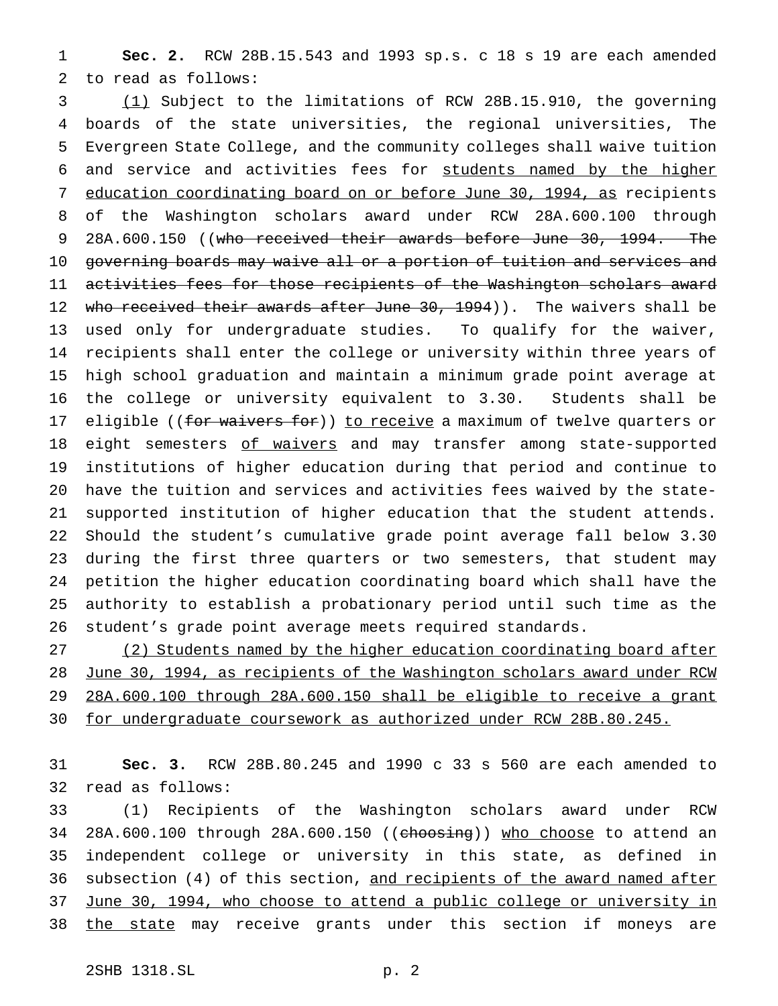**Sec. 2.** RCW 28B.15.543 and 1993 sp.s. c 18 s 19 are each amended to read as follows:

 (1) Subject to the limitations of RCW 28B.15.910, the governing boards of the state universities, the regional universities, The Evergreen State College, and the community colleges shall waive tuition and service and activities fees for students named by the higher education coordinating board on or before June 30, 1994, as recipients of the Washington scholars award under RCW 28A.600.100 through 9 28A.600.150 ((who received their awards before June 30, 1994. The governing boards may waive all or a portion of tuition and services and activities fees for those recipients of the Washington scholars award 12 who received their awards after June 30, 1994)). The waivers shall be used only for undergraduate studies. To qualify for the waiver, recipients shall enter the college or university within three years of high school graduation and maintain a minimum grade point average at the college or university equivalent to 3.30. Students shall be 17 eligible ((for waivers for)) to receive a maximum of twelve quarters or 18 eight semesters of waivers and may transfer among state-supported institutions of higher education during that period and continue to have the tuition and services and activities fees waived by the state- supported institution of higher education that the student attends. Should the student's cumulative grade point average fall below 3.30 during the first three quarters or two semesters, that student may petition the higher education coordinating board which shall have the authority to establish a probationary period until such time as the student's grade point average meets required standards.

 (2) Students named by the higher education coordinating board after June 30, 1994, as recipients of the Washington scholars award under RCW 28A.600.100 through 28A.600.150 shall be eligible to receive a grant for undergraduate coursework as authorized under RCW 28B.80.245.

 **Sec. 3.** RCW 28B.80.245 and 1990 c 33 s 560 are each amended to read as follows:

 (1) Recipients of the Washington scholars award under RCW 34 28A.600.100 through 28A.600.150 ((choosing)) who choose to attend an independent college or university in this state, as defined in 36 subsection (4) of this section, and recipients of the award named after 37 June 30, 1994, who choose to attend a public college or university in 38 the state may receive grants under this section if moneys are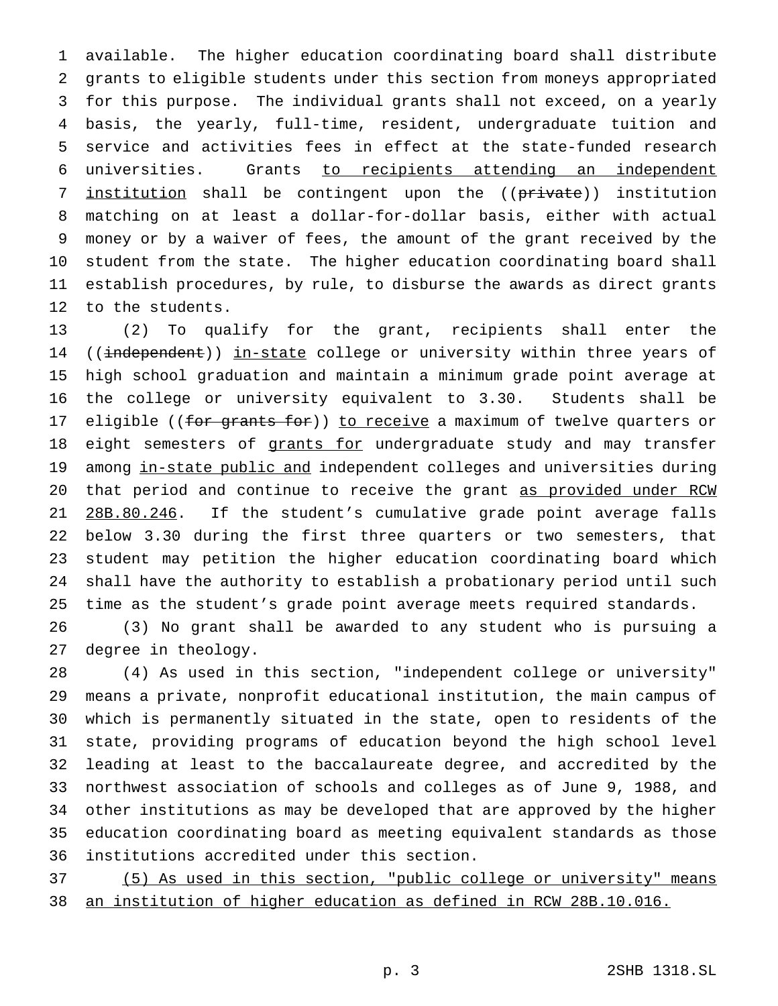available. The higher education coordinating board shall distribute grants to eligible students under this section from moneys appropriated for this purpose. The individual grants shall not exceed, on a yearly basis, the yearly, full-time, resident, undergraduate tuition and service and activities fees in effect at the state-funded research universities. Grants to recipients attending an independent 7 institution shall be contingent upon the ((private)) institution matching on at least a dollar-for-dollar basis, either with actual money or by a waiver of fees, the amount of the grant received by the student from the state. The higher education coordinating board shall establish procedures, by rule, to disburse the awards as direct grants to the students.

 (2) To qualify for the grant, recipients shall enter the 14 ((independent)) in-state college or university within three years of high school graduation and maintain a minimum grade point average at the college or university equivalent to 3.30. Students shall be 17 eligible ((for grants for)) to receive a maximum of twelve quarters or 18 eight semesters of grants for undergraduate study and may transfer 19 among in-state public and independent colleges and universities during that period and continue to receive the grant as provided under RCW 21 28B.80.246. If the student's cumulative grade point average falls below 3.30 during the first three quarters or two semesters, that student may petition the higher education coordinating board which shall have the authority to establish a probationary period until such time as the student's grade point average meets required standards.

 (3) No grant shall be awarded to any student who is pursuing a degree in theology.

 (4) As used in this section, "independent college or university" means a private, nonprofit educational institution, the main campus of which is permanently situated in the state, open to residents of the state, providing programs of education beyond the high school level leading at least to the baccalaureate degree, and accredited by the northwest association of schools and colleges as of June 9, 1988, and other institutions as may be developed that are approved by the higher education coordinating board as meeting equivalent standards as those institutions accredited under this section.

 (5) As used in this section, "public college or university" means an institution of higher education as defined in RCW 28B.10.016.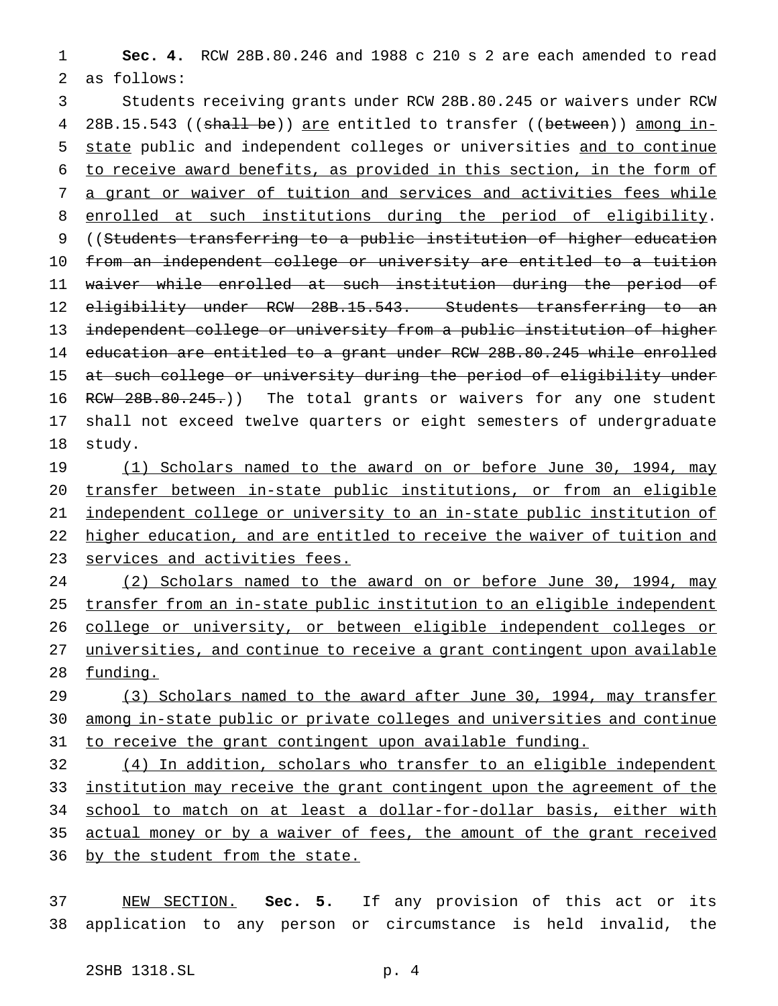**Sec. 4.** RCW 28B.80.246 and 1988 c 210 s 2 are each amended to read as follows:

 Students receiving grants under RCW 28B.80.245 or waivers under RCW 4 28B.15.543 ((shall be)) are entitled to transfer ((between)) among in- state public and independent colleges or universities and to continue to receive award benefits, as provided in this section, in the form of a grant or waiver of tuition and services and activities fees while 8 enrolled at such institutions during the period of eligibility. ((Students transferring to a public institution of higher education from an independent college or university are entitled to a tuition waiver while enrolled at such institution during the period of 12 eligibility under RCW 28B.15.543. Students transferring to an independent college or university from a public institution of higher education are entitled to a grant under RCW 28B.80.245 while enrolled 15 at such college or university during the period of eligibility under 16 RCW 28B.80.245.)) The total grants or waivers for any one student shall not exceed twelve quarters or eight semesters of undergraduate study.

19 (1) Scholars named to the award on or before June 30, 1994, may transfer between in-state public institutions, or from an eligible independent college or university to an in-state public institution of higher education, and are entitled to receive the waiver of tuition and services and activities fees.

 (2) Scholars named to the award on or before June 30, 1994, may transfer from an in-state public institution to an eligible independent 26 college or university, or between eligible independent colleges or universities, and continue to receive a grant contingent upon available 28 funding.

29 (3) Scholars named to the award after June 30, 1994, may transfer among in-state public or private colleges and universities and continue 31 to receive the grant contingent upon available funding.

 (4) In addition, scholars who transfer to an eligible independent institution may receive the grant contingent upon the agreement of the school to match on at least a dollar-for-dollar basis, either with actual money or by a waiver of fees, the amount of the grant received 36 by the student from the state.

 NEW SECTION. **Sec. 5.** If any provision of this act or its application to any person or circumstance is held invalid, the